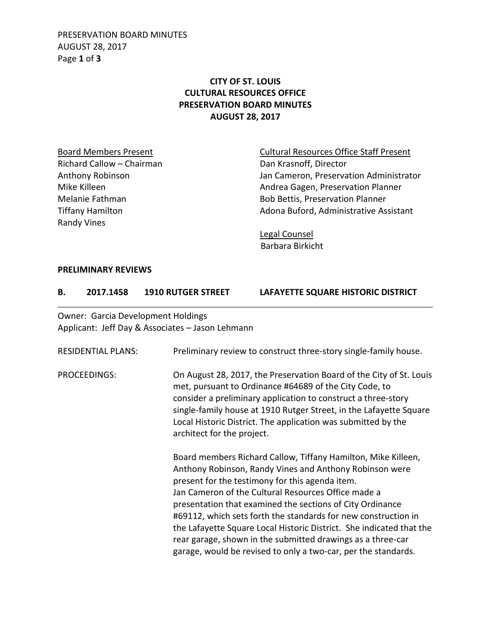PRESERVATION BOARD MINUTES AUGUST 28, 2017 Page **1** of **3**

# **CITY OF ST. LOUIS CULTURAL RESOURCES OFFICE PRESERVATION BOARD MINUTES AUGUST 28, 2017**

Richard Callow – Chairman Dan Krasnoff, Director Randy Vines

Board Members Present **Cultural Resources Office Staff Present** Anthony Robinson Jan Cameron, Preservation Administrator Mike Killeen **Andrea Gagen, Preservation Planner** Andrea Gagen, Preservation Planner Melanie Fathman and Bob Bettis, Preservation Planner Tiffany Hamilton **Adona Buford, Administrative Assistant** 

> Legal Counsel Barbara Birkicht

#### **PRELIMINARY REVIEWS**

#### **B. 2017.1458 1910 RUTGER STREET LAFAYETTE SQUARE HISTORIC DISTRICT**

Owner: Garcia Development Holdings Applicant: Jeff Day & Associates – Jason Lehmann

| <b>RESIDENTIAL PLANS:</b> | Preliminary review to construct three-story single-family house.                                                                                                                                                                                                                                                                                                                                                                                                                                                                                                           |
|---------------------------|----------------------------------------------------------------------------------------------------------------------------------------------------------------------------------------------------------------------------------------------------------------------------------------------------------------------------------------------------------------------------------------------------------------------------------------------------------------------------------------------------------------------------------------------------------------------------|
| PROCEEDINGS:              | On August 28, 2017, the Preservation Board of the City of St. Louis<br>met, pursuant to Ordinance #64689 of the City Code, to<br>consider a preliminary application to construct a three-story<br>single-family house at 1910 Rutger Street, in the Lafayette Square<br>Local Historic District. The application was submitted by the<br>architect for the project.                                                                                                                                                                                                        |
|                           | Board members Richard Callow, Tiffany Hamilton, Mike Killeen,<br>Anthony Robinson, Randy Vines and Anthony Robinson were<br>present for the testimony for this agenda item.<br>Jan Cameron of the Cultural Resources Office made a<br>presentation that examined the sections of City Ordinance<br>#69112, which sets forth the standards for new construction in<br>the Lafayette Square Local Historic District. She indicated that the<br>rear garage, shown in the submitted drawings as a three-car<br>garage, would be revised to only a two-car, per the standards. |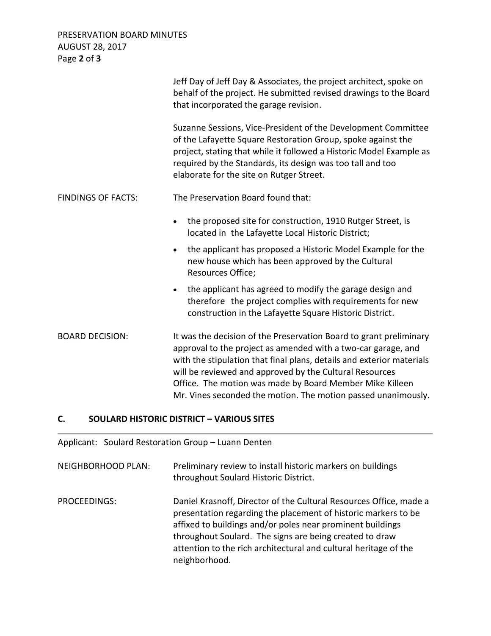PRESERVATION BOARD MINUTES AUGUST 28, 2017 Page **2** of **3**

|                           | Jeff Day of Jeff Day & Associates, the project architect, spoke on<br>behalf of the project. He submitted revised drawings to the Board<br>that incorporated the garage revision.                                                                                                                                                                                                                    |
|---------------------------|------------------------------------------------------------------------------------------------------------------------------------------------------------------------------------------------------------------------------------------------------------------------------------------------------------------------------------------------------------------------------------------------------|
|                           | Suzanne Sessions, Vice-President of the Development Committee<br>of the Lafayette Square Restoration Group, spoke against the<br>project, stating that while it followed a Historic Model Example as<br>required by the Standards, its design was too tall and too<br>elaborate for the site on Rutger Street.                                                                                       |
| <b>FINDINGS OF FACTS:</b> | The Preservation Board found that:                                                                                                                                                                                                                                                                                                                                                                   |
|                           | the proposed site for construction, 1910 Rutger Street, is<br>$\bullet$<br>located in the Lafayette Local Historic District;                                                                                                                                                                                                                                                                         |
|                           | the applicant has proposed a Historic Model Example for the<br>$\bullet$<br>new house which has been approved by the Cultural<br>Resources Office;                                                                                                                                                                                                                                                   |
|                           | the applicant has agreed to modify the garage design and<br>$\bullet$<br>therefore the project complies with requirements for new<br>construction in the Lafayette Square Historic District.                                                                                                                                                                                                         |
| <b>BOARD DECISION:</b>    | It was the decision of the Preservation Board to grant preliminary<br>approval to the project as amended with a two-car garage, and<br>with the stipulation that final plans, details and exterior materials<br>will be reviewed and approved by the Cultural Resources<br>Office. The motion was made by Board Member Mike Killeen<br>Mr. Vines seconded the motion. The motion passed unanimously. |

### **C. SOULARD HISTORIC DISTRICT – VARIOUS SITES**

Applicant: Soulard Restoration Group – Luann Denten

NEIGHBORHOOD PLAN: Preliminary review to install historic markers on buildings throughout Soulard Historic District.

PROCEEDINGS: Daniel Krasnoff, Director of the Cultural Resources Office, made a presentation regarding the placement of historic markers to be affixed to buildings and/or poles near prominent buildings throughout Soulard. The signs are being created to draw attention to the rich architectural and cultural heritage of the neighborhood.